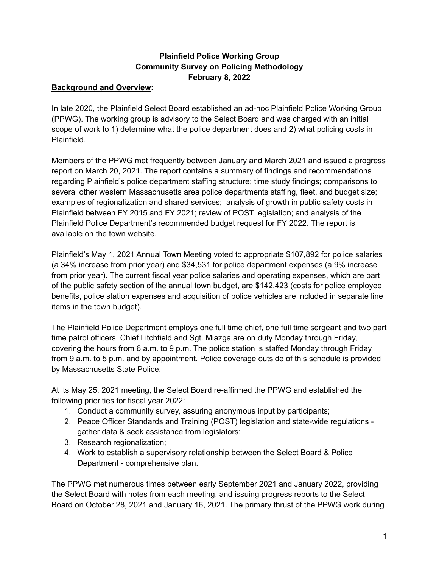## **Plainfield Police Working Group Community Survey on Policing Methodology February 8, 2022**

### **Background and Overview:**

In late 2020, the Plainfield Select Board established an ad-hoc Plainfield Police Working Group (PPWG). The working group is advisory to the Select Board and was charged with an initial scope of work to 1) determine what the police department does and 2) what policing costs in Plainfield.

Members of the PPWG met frequently between January and March 2021 and issued a progress report on March 20, 2021. The report contains a summary of findings and recommendations regarding Plainfield's police department staffing structure; time study findings; comparisons to several other western Massachusetts area police departments staffing, fleet, and budget size; examples of regionalization and shared services; analysis of growth in public safety costs in Plainfield between FY 2015 and FY 2021; review of POST legislation; and analysis of the Plainfield Police Department's recommended budget request for FY 2022. The report is available on the town website.

Plainfield's May 1, 2021 Annual Town Meeting voted to appropriate \$107,892 for police salaries (a 34% increase from prior year) and \$34,531 for police department expenses (a 9% increase from prior year). The current fiscal year police salaries and operating expenses, which are part of the public safety section of the annual town budget, are \$142,423 (costs for police employee benefits, police station expenses and acquisition of police vehicles are included in separate line items in the town budget).

The Plainfield Police Department employs one full time chief, one full time sergeant and two part time patrol officers. Chief Litchfield and Sgt. Miazga are on duty Monday through Friday, covering the hours from 6 a.m. to 9 p.m. The police station is staffed Monday through Friday from 9 a.m. to 5 p.m. and by appointment. Police coverage outside of this schedule is provided by Massachusetts State Police.

At its May 25, 2021 meeting, the Select Board re-affirmed the PPWG and established the following priorities for fiscal year 2022:

- 1. Conduct a community survey, assuring anonymous input by participants;
- 2. Peace Officer Standards and Training (POST) legislation and state-wide regulations gather data & seek assistance from legislators;
- 3. Research regionalization;
- 4. Work to establish a supervisory relationship between the Select Board & Police Department - comprehensive plan.

The PPWG met numerous times between early September 2021 and January 2022, providing the Select Board with notes from each meeting, and issuing progress reports to the Select Board on October 28, 2021 and January 16, 2021. The primary thrust of the PPWG work during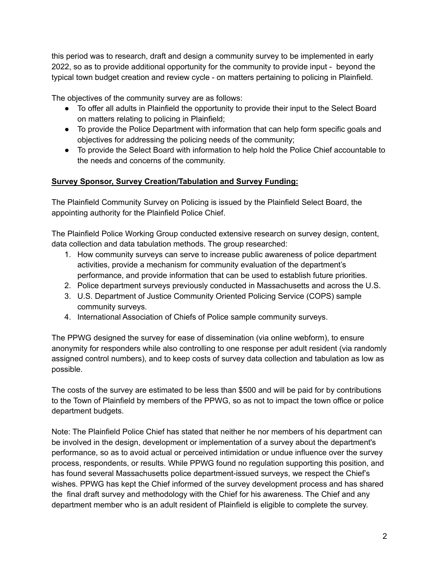this period was to research, draft and design a community survey to be implemented in early 2022, so as to provide additional opportunity for the community to provide input - beyond the typical town budget creation and review cycle - on matters pertaining to policing in Plainfield.

The objectives of the community survey are as follows:

- To offer all adults in Plainfield the opportunity to provide their input to the Select Board on matters relating to policing in Plainfield;
- To provide the Police Department with information that can help form specific goals and objectives for addressing the policing needs of the community;
- To provide the Select Board with information to help hold the Police Chief accountable to the needs and concerns of the community.

# **Survey Sponsor, Survey Creation/Tabulation and Survey Funding:**

The Plainfield Community Survey on Policing is issued by the Plainfield Select Board, the appointing authority for the Plainfield Police Chief.

The Plainfield Police Working Group conducted extensive research on survey design, content, data collection and data tabulation methods. The group researched:

- 1. How community surveys can serve to increase public awareness of police department activities, provide a mechanism for community evaluation of the department's performance, and provide information that can be used to establish future priorities.
- 2. Police department surveys previously conducted in Massachusetts and across the U.S.
- 3. U.S. Department of Justice Community Oriented Policing Service (COPS) sample community surveys.
- 4. International Association of Chiefs of Police sample community surveys.

The PPWG designed the survey for ease of dissemination (via online webform), to ensure anonymity for responders while also controlling to one response per adult resident (via randomly assigned control numbers), and to keep costs of survey data collection and tabulation as low as possible.

The costs of the survey are estimated to be less than \$500 and will be paid for by contributions to the Town of Plainfield by members of the PPWG, so as not to impact the town office or police department budgets.

Note: The Plainfield Police Chief has stated that neither he nor members of his department can be involved in the design, development or implementation of a survey about the department's performance, so as to avoid actual or perceived intimidation or undue influence over the survey process, respondents, or results. While PPWG found no regulation supporting this position, and has found several Massachusetts police department-issued surveys, we respect the Chief's wishes. PPWG has kept the Chief informed of the survey development process and has shared the final draft survey and methodology with the Chief for his awareness. The Chief and any department member who is an adult resident of Plainfield is eligible to complete the survey.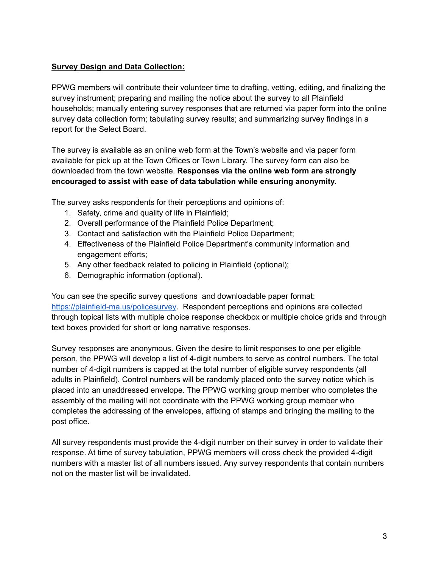### **Survey Design and Data Collection:**

PPWG members will contribute their volunteer time to drafting, vetting, editing, and finalizing the survey instrument; preparing and mailing the notice about the survey to all Plainfield households; manually entering survey responses that are returned via paper form into the online survey data collection form; tabulating survey results; and summarizing survey findings in a report for the Select Board.

The survey is available as an online web form at the Town's website and via paper form available for pick up at the Town Offices or Town Library. The survey form can also be downloaded from the town website. **Responses via the online web form are strongly encouraged to assist with ease of data tabulation while ensuring anonymity.**

The survey asks respondents for their perceptions and opinions of:

- 1. Safety, crime and quality of life in Plainfield;
- 2. Overall performance of the Plainfield Police Department;
- 3. Contact and satisfaction with the Plainfield Police Department;
- 4. Effectiveness of the Plainfield Police Department's community information and engagement efforts;
- 5. Any other feedback related to policing in Plainfield (optional);
- 6. Demographic information (optional).

You can see the specific survey questions and downloadable paper format: <https://plainfield-ma.us/policesurvey>. Respondent perceptions and opinions are collected through topical lists with multiple choice response checkbox or multiple choice grids and through text boxes provided for short or long narrative responses.

Survey responses are anonymous. Given the desire to limit responses to one per eligible person, the PPWG will develop a list of 4-digit numbers to serve as control numbers. The total number of 4-digit numbers is capped at the total number of eligible survey respondents (all adults in Plainfield). Control numbers will be randomly placed onto the survey notice which is placed into an unaddressed envelope. The PPWG working group member who completes the assembly of the mailing will not coordinate with the PPWG working group member who completes the addressing of the envelopes, affixing of stamps and bringing the mailing to the post office.

All survey respondents must provide the 4-digit number on their survey in order to validate their response. At time of survey tabulation, PPWG members will cross check the provided 4-digit numbers with a master list of all numbers issued. Any survey respondents that contain numbers not on the master list will be invalidated.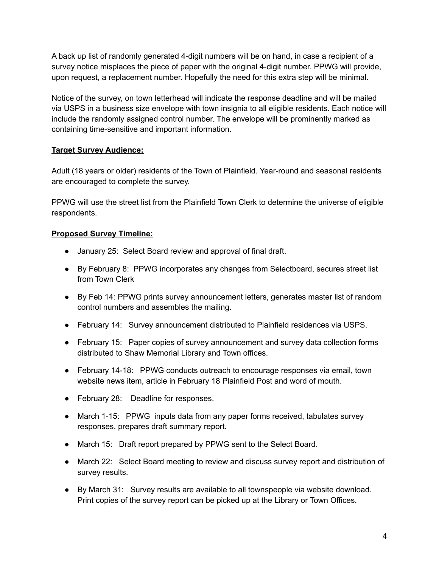A back up list of randomly generated 4-digit numbers will be on hand, in case a recipient of a survey notice misplaces the piece of paper with the original 4-digit number. PPWG will provide, upon request, a replacement number. Hopefully the need for this extra step will be minimal.

Notice of the survey, on town letterhead will indicate the response deadline and will be mailed via USPS in a business size envelope with town insignia to all eligible residents. Each notice will include the randomly assigned control number. The envelope will be prominently marked as containing time-sensitive and important information.

# **Target Survey Audience:**

Adult (18 years or older) residents of the Town of Plainfield. Year-round and seasonal residents are encouraged to complete the survey.

PPWG will use the street list from the Plainfield Town Clerk to determine the universe of eligible respondents.

### **Proposed Survey Timeline:**

- January 25: Select Board review and approval of final draft.
- By February 8: PPWG incorporates any changes from Selectboard, secures street list from Town Clerk
- By Feb 14: PPWG prints survey announcement letters, generates master list of random control numbers and assembles the mailing.
- February 14: Survey announcement distributed to Plainfield residences via USPS.
- February 15: Paper copies of survey announcement and survey data collection forms distributed to Shaw Memorial Library and Town offices.
- February 14-18: PPWG conducts outreach to encourage responses via email, town website news item, article in February 18 Plainfield Post and word of mouth.
- February 28: Deadline for responses.
- March 1-15: PPWG inputs data from any paper forms received, tabulates survey responses, prepares draft summary report.
- March 15: Draft report prepared by PPWG sent to the Select Board.
- March 22: Select Board meeting to review and discuss survey report and distribution of survey results.
- By March 31: Survey results are available to all townspeople via website download. Print copies of the survey report can be picked up at the Library or Town Offices.